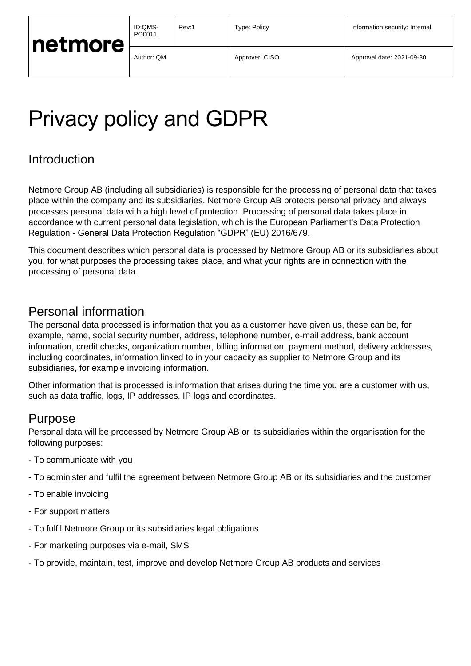# Privacy policy and GDPR

# Introduction

Netmore Group AB (including all subsidiaries) is responsible for the processing of personal data that takes place within the company and its subsidiaries. Netmore Group AB protects personal privacy and always processes personal data with a high level of protection. Processing of personal data takes place in accordance with current personal data legislation, which is the European Parliament's Data Protection Regulation - General Data Protection Regulation "GDPR" (EU) 2016/679.

This document describes which personal data is processed by Netmore Group AB or its subsidiaries about you, for what purposes the processing takes place, and what your rights are in connection with the processing of personal data.

# Personal information

The personal data processed is information that you as a customer have given us, these can be, for example, name, social security number, address, telephone number, e-mail address, bank account information, credit checks, organization number, billing information, payment method, delivery addresses, including coordinates, information linked to in your capacity as supplier to Netmore Group and its subsidiaries, for example invoicing information.

Other information that is processed is information that arises during the time you are a customer with us, such as data traffic, logs, IP addresses, IP logs and coordinates.

# Purpose

Personal data will be processed by Netmore Group AB or its subsidiaries within the organisation for the following purposes:

- To communicate with you
- To administer and fulfil the agreement between Netmore Group AB or its subsidiaries and the customer
- To enable invoicing
- For support matters
- To fulfil Netmore Group or its subsidiaries legal obligations
- For marketing purposes via e-mail, SMS
- To provide, maintain, test, improve and develop Netmore Group AB products and services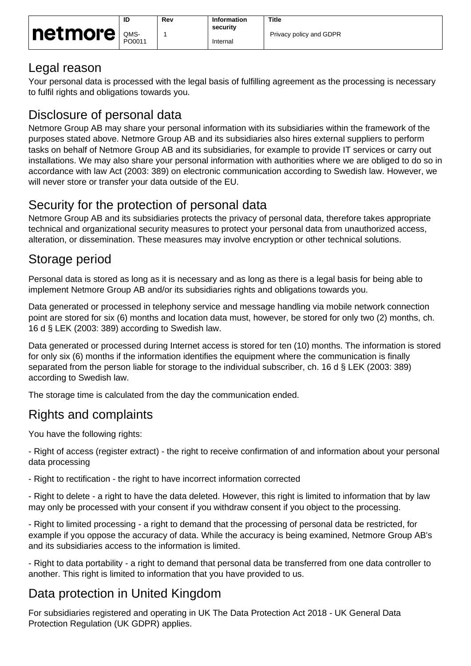|         | ID             | Rev | Information          | <b>Title</b>            |
|---------|----------------|-----|----------------------|-------------------------|
| netmore | QMS-<br>PO0011 |     | security<br>Internal | Privacy policy and GDPR |
|         |                |     |                      |                         |

#### Legal reason

Your personal data is processed with the legal basis of fulfilling agreement as the processing is necessary to fulfil rights and obligations towards you.

# Disclosure of personal data

Netmore Group AB may share your personal information with its subsidiaries within the framework of the purposes stated above. Netmore Group AB and its subsidiaries also hires external suppliers to perform tasks on behalf of Netmore Group AB and its subsidiaries, for example to provide IT services or carry out installations. We may also share your personal information with authorities where we are obliged to do so in accordance with law Act (2003: 389) on electronic communication according to Swedish law. However, we will never store or transfer your data outside of the EU.

### Security for the protection of personal data

Netmore Group AB and its subsidiaries protects the privacy of personal data, therefore takes appropriate technical and organizational security measures to protect your personal data from unauthorized access, alteration, or dissemination. These measures may involve encryption or other technical solutions.

## Storage period

Personal data is stored as long as it is necessary and as long as there is a legal basis for being able to implement Netmore Group AB and/or its subsidiaries rights and obligations towards you.

Data generated or processed in telephony service and message handling via mobile network connection point are stored for six (6) months and location data must, however, be stored for only two (2) months, ch. 16 d § LEK (2003: 389) according to Swedish law.

Data generated or processed during Internet access is stored for ten (10) months. The information is stored for only six (6) months if the information identifies the equipment where the communication is finally separated from the person liable for storage to the individual subscriber, ch. 16 d § LEK (2003: 389) according to Swedish law.

The storage time is calculated from the day the communication ended.

### Rights and complaints

You have the following rights:

- Right of access (register extract) - the right to receive confirmation of and information about your personal data processing

- Right to rectification - the right to have incorrect information corrected

- Right to delete - a right to have the data deleted. However, this right is limited to information that by law may only be processed with your consent if you withdraw consent if you object to the processing.

- Right to limited processing - a right to demand that the processing of personal data be restricted, for example if you oppose the accuracy of data. While the accuracy is being examined, Netmore Group AB's and its subsidiaries access to the information is limited.

- Right to data portability - a right to demand that personal data be transferred from one data controller to another. This right is limited to information that you have provided to us.

# Data protection in United Kingdom

For subsidiaries registered and operating in UK The Data Protection Act 2018 - UK General Data Protection Regulation (UK GDPR) applies.